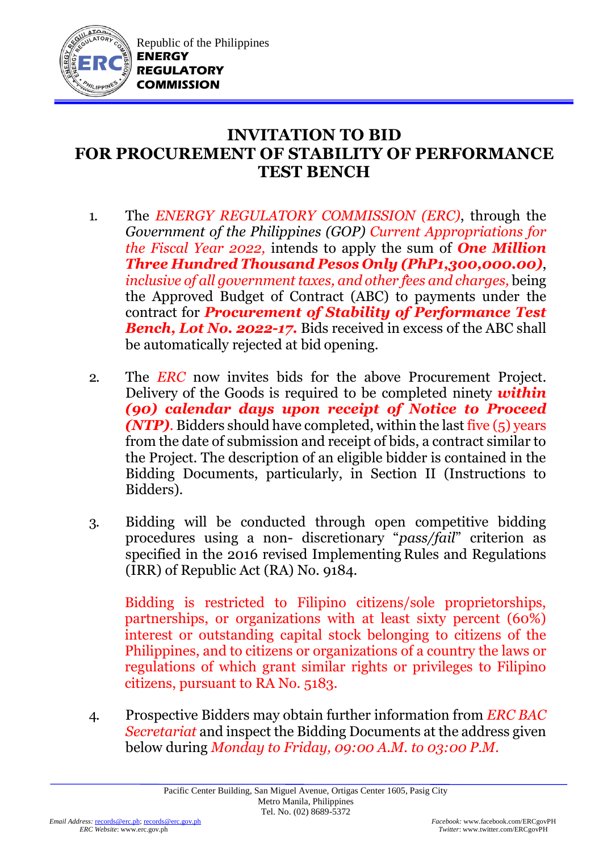

## **INVITATION TO BID FOR PROCUREMENT OF STABILITY OF PERFORMANCE TEST BENCH**

- 1. The *ENERGY REGULATORY COMMISSION (ERC)*, through the *Government of the Philippines (GOP) Current Appropriations for the Fiscal Year 2022,* intends to apply the sum of *One Million Three Hundred Thousand Pesos Only (PhP1,300,000.00)*, *inclusive of all government taxes, and other fees and charges,* being the Approved Budget of Contract (ABC) to payments under the contract for *Procurement of Stability of Performance Test Bench, Lot No. 2022-17.* Bids received in excess of the ABC shall be automatically rejected at bid opening.
- 2. The *ERC* now invites bids for the above Procurement Project. Delivery of the Goods is required to be completed ninety *within (90) calendar days upon receipt of Notice to Proceed (NTP)*. Bidders should have completed, within the last five (5) years from the date of submission and receipt of bids, a contract similar to the Project. The description of an eligible bidder is contained in the Bidding Documents, particularly, in Section II (Instructions to Bidders).
- 3. Bidding will be conducted through open competitive bidding procedures using a non- discretionary "*pass/fail*" criterion as specified in the 2016 revised Implementing Rules and Regulations (IRR) of Republic Act (RA) No. 9184.

Bidding is restricted to Filipino citizens/sole proprietorships, partnerships, or organizations with at least sixty percent (60%) interest or outstanding capital stock belonging to citizens of the Philippines, and to citizens or organizations of a country the laws or regulations of which grant similar rights or privileges to Filipino citizens, pursuant to RA No. 5183.

4. Prospective Bidders may obtain further information from *ERC BAC Secretariat* and inspect the Bidding Documents at the address given below during *Monday to Friday, 09:00 A.M. to 03:00 P.M*.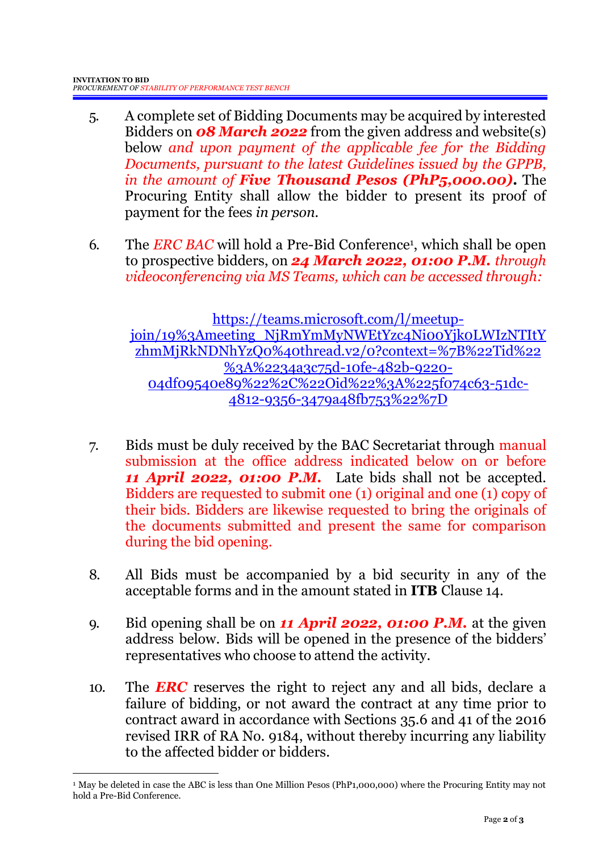- 5. A complete set of Bidding Documents may be acquired by interested Bidders on *08 March 2022* from the given address and website(s) below *and upon payment of the applicable fee for the Bidding Documents, pursuant to the latest Guidelines issued by the GPPB, in the amount of Five Thousand Pesos (PhP5,000.00)***.** The Procuring Entity shall allow the bidder to present its proof of payment for the fees *in person.*
- 6. The *ERC BAC* will hold a Pre-Bid Conference<sup>1</sup>, which shall be open to prospective bidders, on *24 March 2022, 01:00 P.M. through videoconferencing via MS Teams, which can be accessed through:*

[https://teams.microsoft.com/l/meetup](https://teams.microsoft.com/l/meetup-join/19%3Ameeting_NjRmYmMyNWEtYzc4Ni00Yjk0LWIzNTItYzhmMjRkNDNhYzQ0%40thread.v2/0?context=%7B%22Tid%22%3A%2234a3c75d-10fe-482b-9220-04df09540e89%22%2C%22Oid%22%3A%225f074c63-51dc-4812-9356-3479a48fb753%22%7D)[join/19%3Ameeting\\_NjRmYmMyNWEtYzc4Ni00Yjk0LWIzNTItY](https://teams.microsoft.com/l/meetup-join/19%3Ameeting_NjRmYmMyNWEtYzc4Ni00Yjk0LWIzNTItYzhmMjRkNDNhYzQ0%40thread.v2/0?context=%7B%22Tid%22%3A%2234a3c75d-10fe-482b-9220-04df09540e89%22%2C%22Oid%22%3A%225f074c63-51dc-4812-9356-3479a48fb753%22%7D) [zhmMjRkNDNhYzQ0%40thread.v2/0?context=%7B%22Tid%22](https://teams.microsoft.com/l/meetup-join/19%3Ameeting_NjRmYmMyNWEtYzc4Ni00Yjk0LWIzNTItYzhmMjRkNDNhYzQ0%40thread.v2/0?context=%7B%22Tid%22%3A%2234a3c75d-10fe-482b-9220-04df09540e89%22%2C%22Oid%22%3A%225f074c63-51dc-4812-9356-3479a48fb753%22%7D) [%3A%2234a3c75d-10fe-482b-9220-](https://teams.microsoft.com/l/meetup-join/19%3Ameeting_NjRmYmMyNWEtYzc4Ni00Yjk0LWIzNTItYzhmMjRkNDNhYzQ0%40thread.v2/0?context=%7B%22Tid%22%3A%2234a3c75d-10fe-482b-9220-04df09540e89%22%2C%22Oid%22%3A%225f074c63-51dc-4812-9356-3479a48fb753%22%7D) [04df09540e89%22%2C%22Oid%22%3A%225f074c63-51dc-](https://teams.microsoft.com/l/meetup-join/19%3Ameeting_NjRmYmMyNWEtYzc4Ni00Yjk0LWIzNTItYzhmMjRkNDNhYzQ0%40thread.v2/0?context=%7B%22Tid%22%3A%2234a3c75d-10fe-482b-9220-04df09540e89%22%2C%22Oid%22%3A%225f074c63-51dc-4812-9356-3479a48fb753%22%7D)[4812-9356-3479a48fb753%22%7D](https://teams.microsoft.com/l/meetup-join/19%3Ameeting_NjRmYmMyNWEtYzc4Ni00Yjk0LWIzNTItYzhmMjRkNDNhYzQ0%40thread.v2/0?context=%7B%22Tid%22%3A%2234a3c75d-10fe-482b-9220-04df09540e89%22%2C%22Oid%22%3A%225f074c63-51dc-4812-9356-3479a48fb753%22%7D)

- 7. Bids must be duly received by the BAC Secretariat through manual submission at the office address indicated below on or before *11 April 2022, 01:00 P.M.* Late bids shall not be accepted. Bidders are requested to submit one (1) original and one (1) copy of their bids. Bidders are likewise requested to bring the originals of the documents submitted and present the same for comparison during the bid opening.
- 8. All Bids must be accompanied by a bid security in any of the acceptable forms and in the amount stated in **ITB** Clause 14.
- 9. Bid opening shall be on *11 April 2022, 01:00 P.M.* at the given address below. Bids will be opened in the presence of the bidders' representatives who choose to attend the activity.
- 10. The *ERC* reserves the right to reject any and all bids, declare a failure of bidding, or not award the contract at any time prior to contract award in accordance with Sections 35.6 and 41 of the 2016 revised IRR of RA No. 9184, without thereby incurring any liability to the affected bidder or bidders.

1

<sup>1</sup> May be deleted in case the ABC is less than One Million Pesos (PhP1,000,000) where the Procuring Entity may not hold a Pre-Bid Conference.